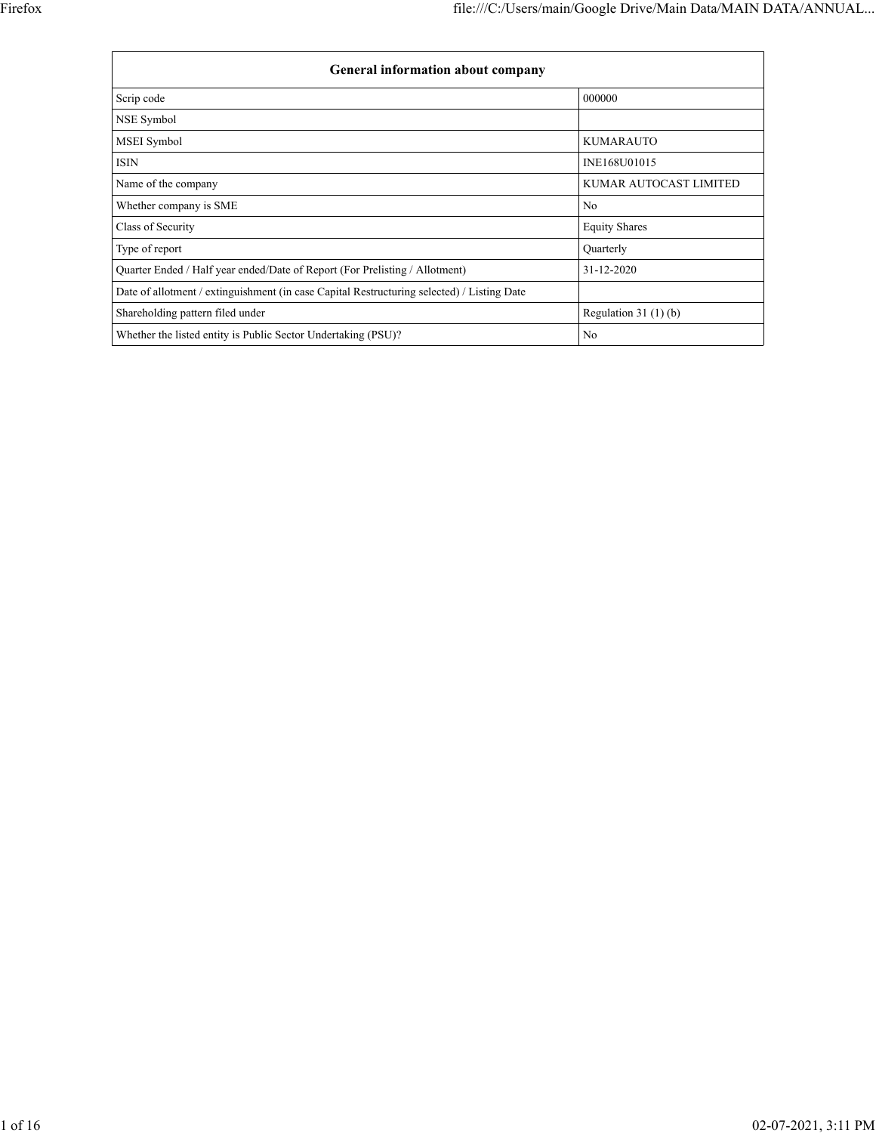| <b>General information about company</b>                                                   |                        |  |  |  |  |  |  |  |  |
|--------------------------------------------------------------------------------------------|------------------------|--|--|--|--|--|--|--|--|
| Scrip code                                                                                 | 000000                 |  |  |  |  |  |  |  |  |
| NSE Symbol                                                                                 |                        |  |  |  |  |  |  |  |  |
| <b>MSEI</b> Symbol                                                                         | <b>KUMARAUTO</b>       |  |  |  |  |  |  |  |  |
| ISIN                                                                                       | INE168U01015           |  |  |  |  |  |  |  |  |
| Name of the company                                                                        | KUMAR AUTOCAST LIMITED |  |  |  |  |  |  |  |  |
| Whether company is SME                                                                     | N <sub>0</sub>         |  |  |  |  |  |  |  |  |
| Class of Security                                                                          | <b>Equity Shares</b>   |  |  |  |  |  |  |  |  |
| Type of report                                                                             | Quarterly              |  |  |  |  |  |  |  |  |
| Quarter Ended / Half year ended/Date of Report (For Prelisting / Allotment)                | 31-12-2020             |  |  |  |  |  |  |  |  |
| Date of allotment / extinguishment (in case Capital Restructuring selected) / Listing Date |                        |  |  |  |  |  |  |  |  |
| Shareholding pattern filed under                                                           | Regulation $31(1)(b)$  |  |  |  |  |  |  |  |  |
| Whether the listed entity is Public Sector Undertaking (PSU)?                              | N <sub>0</sub>         |  |  |  |  |  |  |  |  |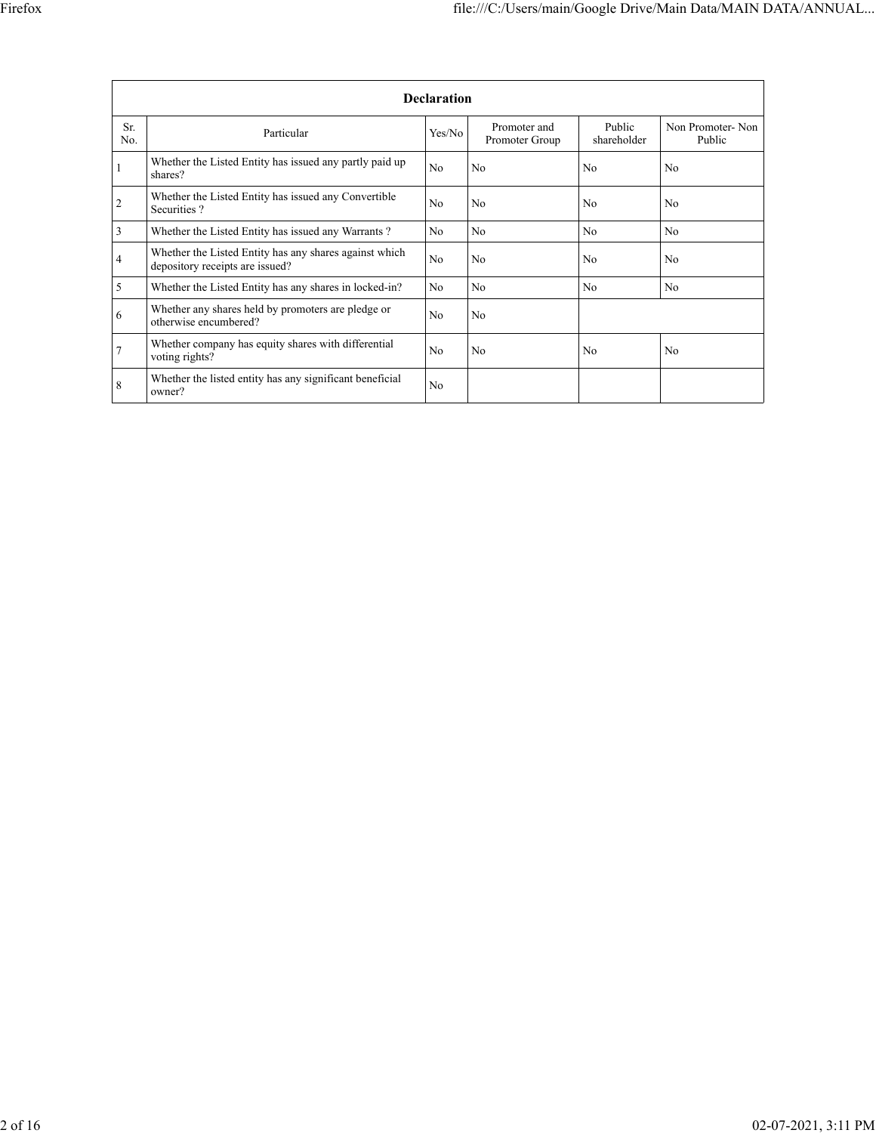|                | <b>Declaration</b>                                                                        |                |                                |                       |                            |  |  |  |  |  |  |  |
|----------------|-------------------------------------------------------------------------------------------|----------------|--------------------------------|-----------------------|----------------------------|--|--|--|--|--|--|--|
| Sr.<br>No.     | Particular                                                                                | Yes/No         | Promoter and<br>Promoter Group | Public<br>shareholder | Non Promoter-Non<br>Public |  |  |  |  |  |  |  |
|                | Whether the Listed Entity has issued any partly paid up<br>shares?                        | N <sub>0</sub> | N <sub>0</sub>                 | N <sub>0</sub>        | N <sub>0</sub>             |  |  |  |  |  |  |  |
| $\overline{2}$ | Whether the Listed Entity has issued any Convertible<br>Securities?                       | N <sub>0</sub> | N <sub>0</sub>                 | N <sub>0</sub>        | N <sub>0</sub>             |  |  |  |  |  |  |  |
| 3              | Whether the Listed Entity has issued any Warrants?                                        | N <sub>o</sub> | N <sub>0</sub>                 | N <sub>0</sub>        | N <sub>0</sub>             |  |  |  |  |  |  |  |
| 4              | Whether the Listed Entity has any shares against which<br>depository receipts are issued? | N <sub>0</sub> | N <sub>0</sub>                 | N <sub>0</sub>        | N <sub>0</sub>             |  |  |  |  |  |  |  |
| 5              | Whether the Listed Entity has any shares in locked-in?                                    | N <sub>0</sub> | N <sub>0</sub>                 | N <sub>0</sub>        | N <sub>0</sub>             |  |  |  |  |  |  |  |
| 6              | Whether any shares held by promoters are pledge or<br>otherwise encumbered?               | N <sub>0</sub> | N <sub>0</sub>                 |                       |                            |  |  |  |  |  |  |  |
| 7              | Whether company has equity shares with differential<br>voting rights?                     | N <sub>0</sub> | N <sub>0</sub>                 | N <sub>0</sub>        | N <sub>0</sub>             |  |  |  |  |  |  |  |
| 8              | Whether the listed entity has any significant beneficial<br>owner?                        | N <sub>0</sub> |                                |                       |                            |  |  |  |  |  |  |  |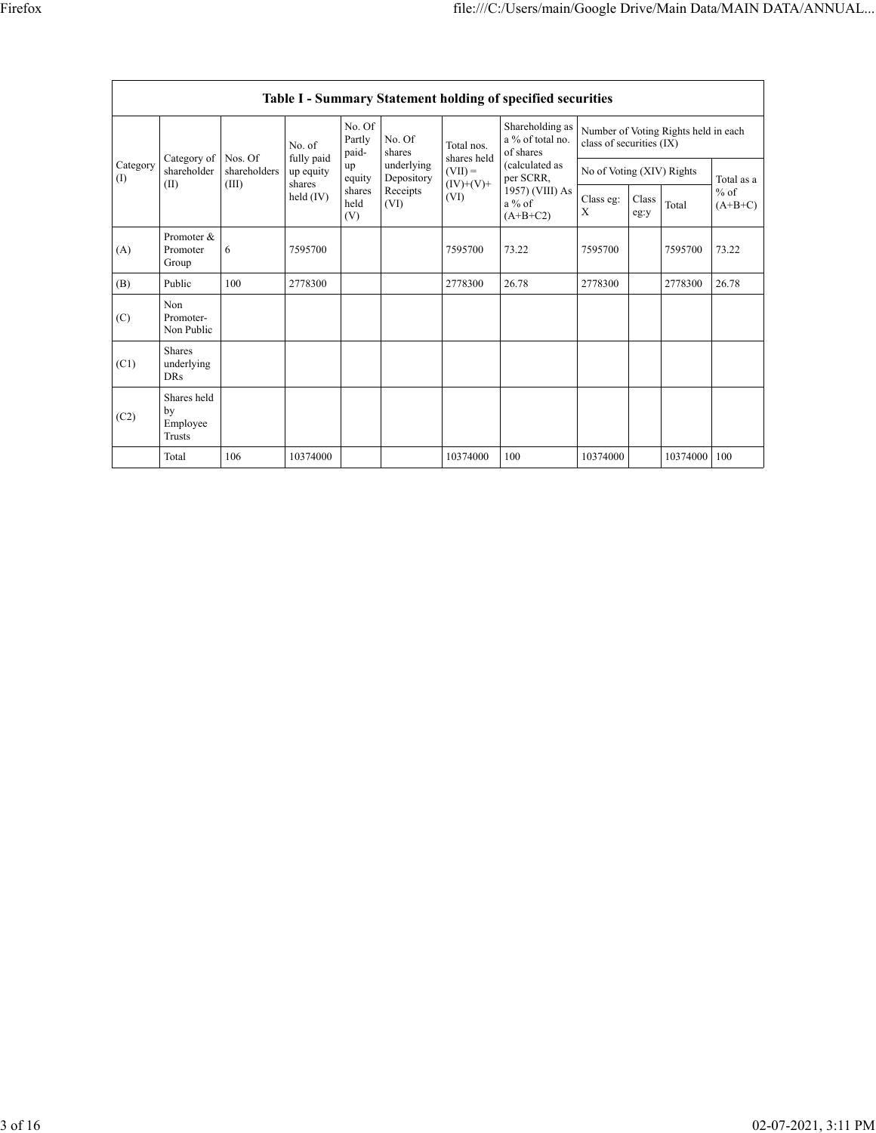|                 | <b>Table I - Summary Statement holding of specified securities</b> |                         |                         |                           |                          |                                                               |                                                                                                                              |                                                                  |               |          |                                   |  |  |
|-----------------|--------------------------------------------------------------------|-------------------------|-------------------------|---------------------------|--------------------------|---------------------------------------------------------------|------------------------------------------------------------------------------------------------------------------------------|------------------------------------------------------------------|---------------|----------|-----------------------------------|--|--|
|                 |                                                                    |                         | No. of                  | No. Of<br>Partly<br>paid- | No. Of<br>shares         | Total nos.<br>shares held<br>$(VII) =$<br>$(IV)+(V)+$<br>(VI) | Shareholding as<br>a % of total no.<br>of shares<br>(calculated as<br>per SCRR,<br>1957) (VIII) As<br>$a\%$ of<br>$(A+B+C2)$ | Number of Voting Rights held in each<br>class of securities (IX) |               |          |                                   |  |  |
| Category<br>(I) | Category of<br>shareholder                                         | Nos. Of<br>shareholders | fully paid<br>up equity | up<br>equity              | underlying<br>Depository |                                                               |                                                                                                                              | No of Voting (XIV) Rights                                        |               |          | Total as a<br>$%$ of<br>$(A+B+C)$ |  |  |
|                 | (II)                                                               | (III)                   | shares<br>held $(IV)$   | shares<br>held<br>(V)     | Receipts<br>(VI)         |                                                               |                                                                                                                              | Class eg:<br>X                                                   | Class<br>eg:y | Total    |                                   |  |  |
| (A)             | Promoter &<br>Promoter<br>Group                                    | 6                       | 7595700                 |                           |                          | 7595700                                                       | 73.22                                                                                                                        | 7595700                                                          |               | 7595700  | 73.22                             |  |  |
| (B)             | Public                                                             | 100                     | 2778300                 |                           |                          | 2778300                                                       | 26.78                                                                                                                        | 2778300                                                          |               | 2778300  | 26.78                             |  |  |
| (C)             | Non<br>Promoter-<br>Non Public                                     |                         |                         |                           |                          |                                                               |                                                                                                                              |                                                                  |               |          |                                   |  |  |
| (C1)            | <b>Shares</b><br>underlying<br><b>DRs</b>                          |                         |                         |                           |                          |                                                               |                                                                                                                              |                                                                  |               |          |                                   |  |  |
| (C2)            | Shares held<br>by<br>Employee<br>Trusts                            |                         |                         |                           |                          |                                                               |                                                                                                                              |                                                                  |               |          |                                   |  |  |
|                 | Total                                                              | 106                     | 10374000                |                           |                          | 10374000                                                      | 100                                                                                                                          | 10374000                                                         |               | 10374000 | 100                               |  |  |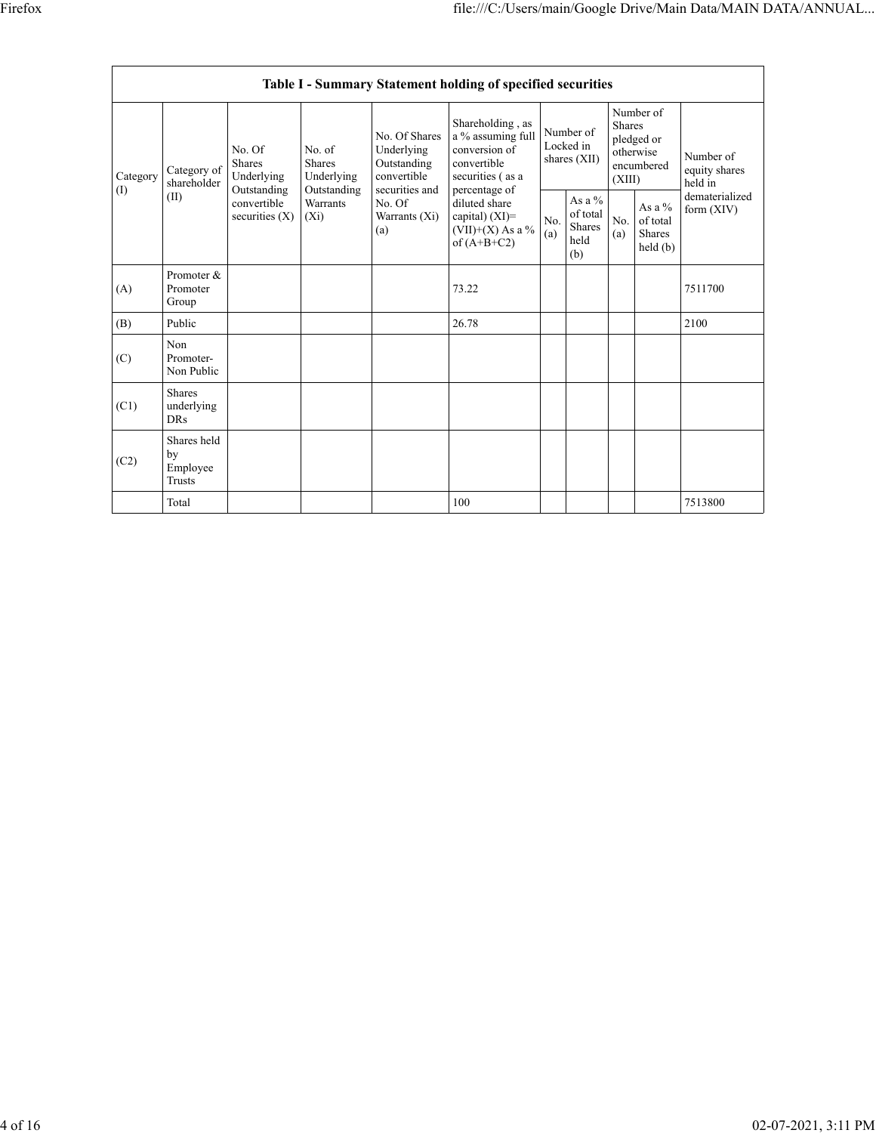|                                            | Table I - Summary Statement holding of specified securities |                                                                                  |                                                      |                                                                                                               |                                                                                                                                                                                         |                                        |                                                      |                                                                               |                                           |                                       |  |  |  |
|--------------------------------------------|-------------------------------------------------------------|----------------------------------------------------------------------------------|------------------------------------------------------|---------------------------------------------------------------------------------------------------------------|-----------------------------------------------------------------------------------------------------------------------------------------------------------------------------------------|----------------------------------------|------------------------------------------------------|-------------------------------------------------------------------------------|-------------------------------------------|---------------------------------------|--|--|--|
| Category<br>$\textcircled{\scriptsize{1}}$ | Category of<br>shareholder<br>(II)                          | No. Of<br>Shares<br>Underlying<br>Outstanding<br>convertible<br>securities $(X)$ | No. of<br><b>Shares</b><br>Underlying<br>Outstanding | No. Of Shares<br>Underlying<br>Outstanding<br>convertible<br>securities and<br>No. Of<br>Warrants (Xi)<br>(a) | Shareholding, as<br>a % assuming full<br>conversion of<br>convertible<br>securities (as a<br>percentage of<br>diluted share<br>capital) $(XI)$ =<br>$(VII)+(X)$ As a %<br>of $(A+B+C2)$ | Number of<br>Locked in<br>shares (XII) |                                                      | Number of<br><b>Shares</b><br>pledged or<br>otherwise<br>encumbered<br>(XIII) |                                           | Number of<br>equity shares<br>held in |  |  |  |
|                                            |                                                             |                                                                                  | <b>Warrants</b><br>$(X_i)$                           |                                                                                                               |                                                                                                                                                                                         | No.<br>(a)                             | As a $%$<br>of total<br><b>Shares</b><br>held<br>(b) | No.<br>(a)                                                                    | As a $%$<br>of total<br>Shares<br>held(b) | dematerialized<br>form $(XIV)$        |  |  |  |
| (A)                                        | Promoter &<br>Promoter<br>Group                             |                                                                                  |                                                      |                                                                                                               | 73.22                                                                                                                                                                                   |                                        |                                                      |                                                                               |                                           | 7511700                               |  |  |  |
| (B)                                        | Public                                                      |                                                                                  |                                                      |                                                                                                               | 26.78                                                                                                                                                                                   |                                        |                                                      |                                                                               |                                           | 2100                                  |  |  |  |
| (C)                                        | Non<br>Promoter-<br>Non Public                              |                                                                                  |                                                      |                                                                                                               |                                                                                                                                                                                         |                                        |                                                      |                                                                               |                                           |                                       |  |  |  |
| (C1)                                       | <b>Shares</b><br>underlying<br><b>DRs</b>                   |                                                                                  |                                                      |                                                                                                               |                                                                                                                                                                                         |                                        |                                                      |                                                                               |                                           |                                       |  |  |  |
| (C2)                                       | Shares held<br>by<br>Employee<br>Trusts                     |                                                                                  |                                                      |                                                                                                               |                                                                                                                                                                                         |                                        |                                                      |                                                                               |                                           |                                       |  |  |  |
|                                            | Total                                                       |                                                                                  |                                                      |                                                                                                               | 100                                                                                                                                                                                     |                                        |                                                      |                                                                               |                                           | 7513800                               |  |  |  |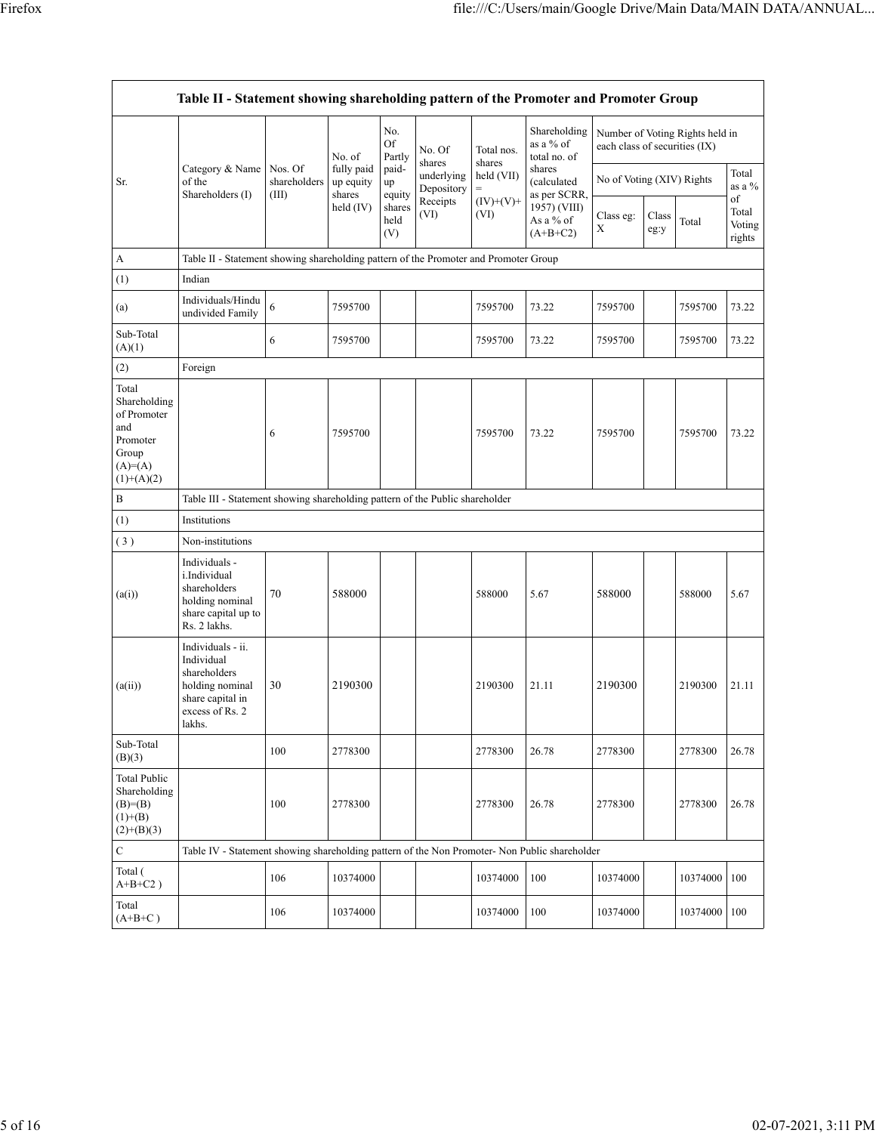|                                                                                               | Table II - Statement showing shareholding pattern of the Promoter and Promoter Group                                |                                  |                                                            |                                 |                                              |                      |                                                         |                               |               |                                 |                                 |
|-----------------------------------------------------------------------------------------------|---------------------------------------------------------------------------------------------------------------------|----------------------------------|------------------------------------------------------------|---------------------------------|----------------------------------------------|----------------------|---------------------------------------------------------|-------------------------------|---------------|---------------------------------|---------------------------------|
|                                                                                               |                                                                                                                     |                                  | No. of<br>fully paid<br>up equity<br>shares<br>held $(IV)$ | No.<br>Of<br>Partly             | No. Of<br>shares<br>underlying<br>Depository | Total nos.<br>shares | Shareholding<br>as a % of<br>total no. of               | each class of securities (IX) |               | Number of Voting Rights held in |                                 |
| Sr.                                                                                           | Category & Name<br>of the                                                                                           | Nos. Of<br>shareholders<br>(III) |                                                            | paid-<br>up                     |                                              | held (VII)<br>$=$    | shares<br>(calculated                                   | No of Voting (XIV) Rights     |               |                                 | Total<br>as a $%$               |
|                                                                                               | Shareholders (I)                                                                                                    |                                  |                                                            | equity<br>shares<br>held<br>(V) | Receipts<br>(VI)                             | $(IV)+(V)+$<br>(VI)  | as per SCRR,<br>1957) (VIII)<br>As a % of<br>$(A+B+C2)$ | Class eg:<br>X                | Class<br>eg:y | Total                           | of<br>Total<br>Voting<br>rights |
| A                                                                                             | Table II - Statement showing shareholding pattern of the Promoter and Promoter Group                                |                                  |                                                            |                                 |                                              |                      |                                                         |                               |               |                                 |                                 |
| (1)                                                                                           | Indian                                                                                                              |                                  |                                                            |                                 |                                              |                      |                                                         |                               |               |                                 |                                 |
| (a)                                                                                           | Individuals/Hindu<br>undivided Family                                                                               | 6                                | 7595700                                                    |                                 |                                              | 7595700              | 73.22                                                   | 7595700                       |               | 7595700                         | 73.22                           |
| Sub-Total<br>(A)(1)                                                                           |                                                                                                                     | 6                                | 7595700                                                    |                                 |                                              | 7595700              | 73.22                                                   | 7595700                       |               | 7595700                         | 73.22                           |
| (2)                                                                                           | Foreign                                                                                                             |                                  |                                                            |                                 |                                              |                      |                                                         |                               |               |                                 |                                 |
| Total<br>Shareholding<br>of Promoter<br>and<br>Promoter<br>Group<br>$(A)=(A)$<br>$(1)+(A)(2)$ |                                                                                                                     | 6                                | 7595700                                                    |                                 |                                              | 7595700              | 73.22                                                   | 7595700                       |               | 7595700                         | 73.22                           |
| B                                                                                             | Table III - Statement showing shareholding pattern of the Public shareholder                                        |                                  |                                                            |                                 |                                              |                      |                                                         |                               |               |                                 |                                 |
| (1)                                                                                           | Institutions                                                                                                        |                                  |                                                            |                                 |                                              |                      |                                                         |                               |               |                                 |                                 |
| (3)                                                                                           | Non-institutions                                                                                                    |                                  |                                                            |                                 |                                              |                      |                                                         |                               |               |                                 |                                 |
| (a(i))                                                                                        | Individuals -<br>i.Individual<br>shareholders<br>holding nominal<br>share capital up to<br>Rs. 2 lakhs.             | 70                               | 588000                                                     |                                 |                                              | 588000               | 5.67                                                    | 588000                        |               | 588000                          | 5.67                            |
| (a(ii))                                                                                       | Individuals - ii.<br>Individual<br>shareholders<br>holding nominal<br>share capital in<br>excess of Rs. 2<br>lakhs. | 30                               | 2190300                                                    |                                 |                                              | 2190300              | 21.11                                                   | 2190300                       |               | 2190300                         | 21.11                           |
| Sub-Total<br>(B)(3)                                                                           |                                                                                                                     | 100                              | 2778300                                                    |                                 |                                              | 2778300              | 26.78                                                   | 2778300                       |               | 2778300                         | 26.78                           |
| <b>Total Public</b><br>Shareholding<br>$(B)=B)$<br>$(1)+(B)$<br>$(2)+(B)(3)$                  |                                                                                                                     | 100                              | 2778300                                                    |                                 |                                              | 2778300              | 26.78                                                   | 2778300                       |               | 2778300                         | 26.78                           |
| $\mathbf C$                                                                                   | Table IV - Statement showing shareholding pattern of the Non Promoter- Non Public shareholder                       |                                  |                                                            |                                 |                                              |                      |                                                         |                               |               |                                 |                                 |
| Total (<br>$A+B+C2$ )                                                                         |                                                                                                                     | 106                              | 10374000                                                   |                                 |                                              | 10374000             | 100                                                     | 10374000                      |               | 10374000                        | 100                             |
| Total<br>$(A+B+C)$                                                                            |                                                                                                                     | 106                              | 10374000                                                   |                                 |                                              | 10374000             | 100                                                     | 10374000                      |               | 10374000                        | 100                             |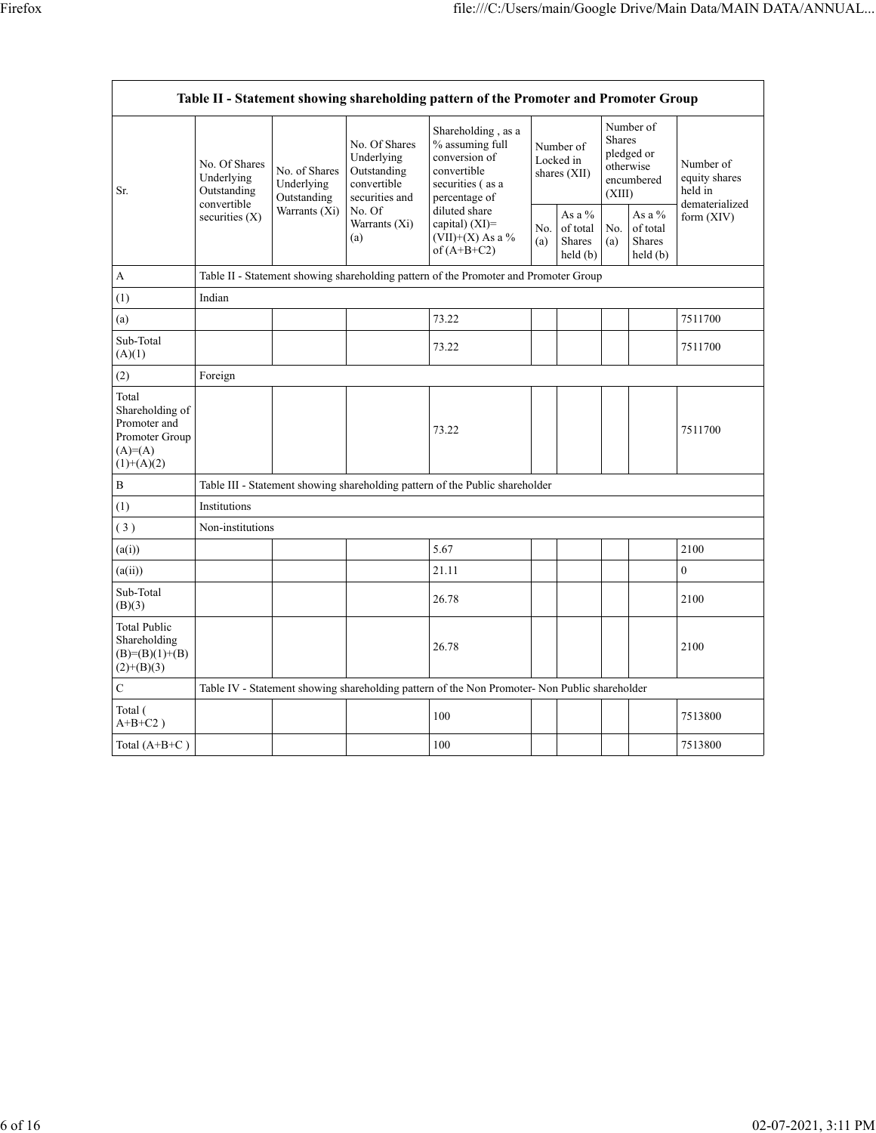| Table II - Statement showing shareholding pattern of the Promoter and Promoter Group     |                                                           |                                                             |                                                                                                               |                                                                                                                                                                                       |                                          |                                            |                                                                               |                                            |                                                         |  |  |
|------------------------------------------------------------------------------------------|-----------------------------------------------------------|-------------------------------------------------------------|---------------------------------------------------------------------------------------------------------------|---------------------------------------------------------------------------------------------------------------------------------------------------------------------------------------|------------------------------------------|--------------------------------------------|-------------------------------------------------------------------------------|--------------------------------------------|---------------------------------------------------------|--|--|
| Sr.                                                                                      | No. Of Shares<br>Underlying<br>Outstanding<br>convertible | No. of Shares<br>Underlying<br>Outstanding<br>Warrants (Xi) | No. Of Shares<br>Underlying<br>Outstanding<br>convertible<br>securities and<br>No. Of<br>Warrants (Xi)<br>(a) | Shareholding, as a<br>% assuming full<br>conversion of<br>convertible<br>securities (as a<br>percentage of<br>diluted share<br>capital) $(XI)$ =<br>(VII)+(X) As a %<br>of $(A+B+C2)$ | Number of<br>Locked in<br>shares $(XII)$ |                                            | Number of<br><b>Shares</b><br>pledged or<br>otherwise<br>encumbered<br>(XIII) |                                            | Number of<br>equity shares<br>held in<br>dematerialized |  |  |
|                                                                                          | securities (X)                                            |                                                             |                                                                                                               |                                                                                                                                                                                       | No.<br>(a)                               | As a $%$<br>of total<br>Shares<br>held (b) | No.<br>(a)                                                                    | As a $%$<br>of total<br>Shares<br>held (b) | form (XIV)                                              |  |  |
| A                                                                                        |                                                           |                                                             |                                                                                                               | Table II - Statement showing shareholding pattern of the Promoter and Promoter Group                                                                                                  |                                          |                                            |                                                                               |                                            |                                                         |  |  |
| (1)                                                                                      | Indian                                                    |                                                             |                                                                                                               |                                                                                                                                                                                       |                                          |                                            |                                                                               |                                            |                                                         |  |  |
| (a)                                                                                      |                                                           |                                                             |                                                                                                               | 73.22                                                                                                                                                                                 |                                          |                                            |                                                                               |                                            | 7511700                                                 |  |  |
| Sub-Total<br>(A)(1)                                                                      |                                                           |                                                             |                                                                                                               | 73.22                                                                                                                                                                                 |                                          |                                            |                                                                               |                                            | 7511700                                                 |  |  |
| (2)                                                                                      | Foreign                                                   |                                                             |                                                                                                               |                                                                                                                                                                                       |                                          |                                            |                                                                               |                                            |                                                         |  |  |
| Total<br>Shareholding of<br>Promoter and<br>Promoter Group<br>$(A)= (A)$<br>$(1)+(A)(2)$ |                                                           |                                                             |                                                                                                               | 73.22                                                                                                                                                                                 |                                          |                                            |                                                                               |                                            | 7511700                                                 |  |  |
| B                                                                                        |                                                           |                                                             |                                                                                                               | Table III - Statement showing shareholding pattern of the Public shareholder                                                                                                          |                                          |                                            |                                                                               |                                            |                                                         |  |  |
| (1)                                                                                      | Institutions                                              |                                                             |                                                                                                               |                                                                                                                                                                                       |                                          |                                            |                                                                               |                                            |                                                         |  |  |
| (3)                                                                                      | Non-institutions                                          |                                                             |                                                                                                               |                                                                                                                                                                                       |                                          |                                            |                                                                               |                                            |                                                         |  |  |
| (a(i))                                                                                   |                                                           |                                                             |                                                                                                               | 5.67                                                                                                                                                                                  |                                          |                                            |                                                                               |                                            | 2100                                                    |  |  |
| (a(ii))                                                                                  |                                                           |                                                             |                                                                                                               | 21.11                                                                                                                                                                                 |                                          |                                            |                                                                               |                                            | $\mathbf{0}$                                            |  |  |
| Sub-Total<br>(B)(3)                                                                      |                                                           |                                                             |                                                                                                               | 26.78                                                                                                                                                                                 |                                          |                                            |                                                                               |                                            | 2100                                                    |  |  |
| <b>Total Public</b><br>Shareholding<br>$(B)= (B)(1)+(B)$<br>$(2)+(B)(3)$                 |                                                           |                                                             |                                                                                                               | 26.78                                                                                                                                                                                 |                                          |                                            |                                                                               |                                            | 2100                                                    |  |  |
| C                                                                                        |                                                           |                                                             |                                                                                                               | Table IV - Statement showing shareholding pattern of the Non Promoter- Non Public shareholder                                                                                         |                                          |                                            |                                                                               |                                            |                                                         |  |  |
| Total (<br>$A+B+C2$ )                                                                    |                                                           |                                                             |                                                                                                               | 100                                                                                                                                                                                   |                                          |                                            |                                                                               |                                            | 7513800                                                 |  |  |
| Total $(A+B+C)$                                                                          |                                                           |                                                             |                                                                                                               | 100                                                                                                                                                                                   |                                          |                                            |                                                                               |                                            | 7513800                                                 |  |  |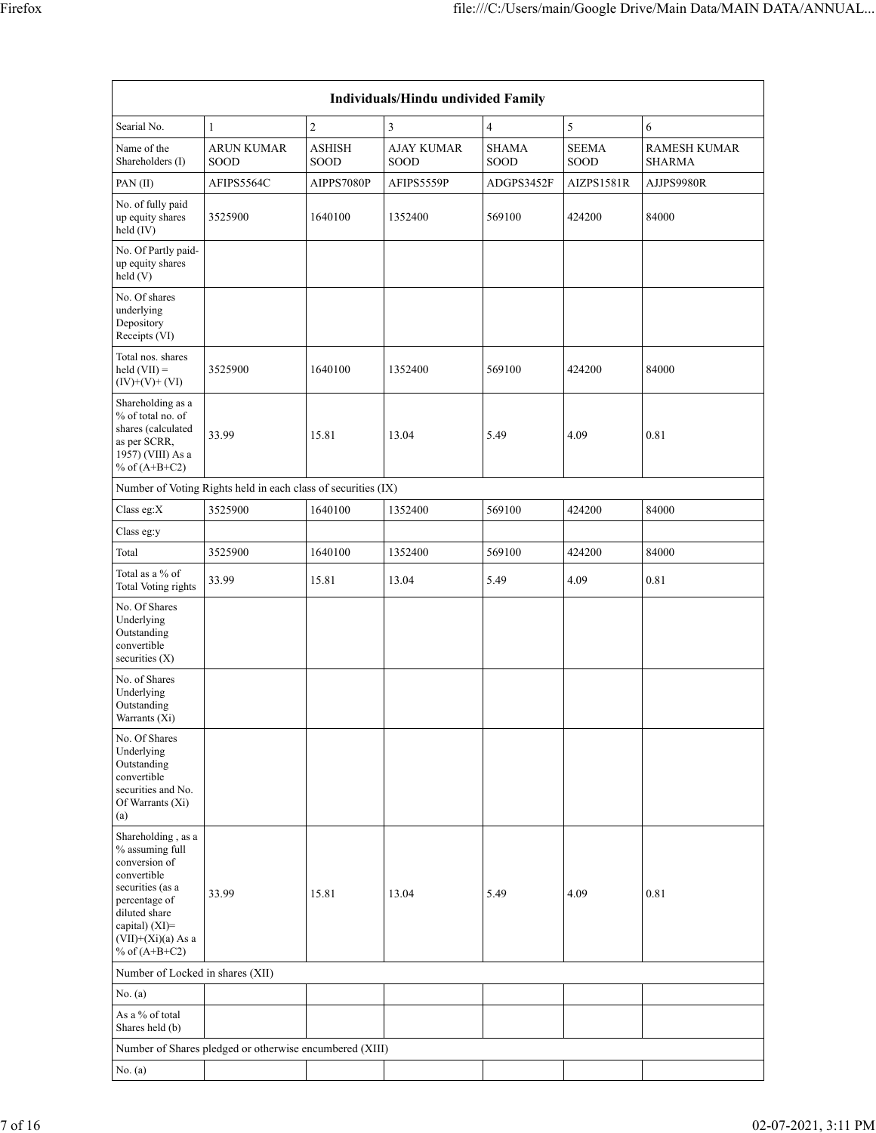| Individuals/Hindu undivided Family                                                                                                                                                       |                                                               |                              |                           |                      |                      |                                      |  |  |  |  |  |
|------------------------------------------------------------------------------------------------------------------------------------------------------------------------------------------|---------------------------------------------------------------|------------------------------|---------------------------|----------------------|----------------------|--------------------------------------|--|--|--|--|--|
| Searial No.                                                                                                                                                                              | $\mathbf{1}$                                                  | $\sqrt{2}$                   | 3                         | 4                    | $\sqrt{5}$           | 6                                    |  |  |  |  |  |
| Name of the<br>Shareholders (I)                                                                                                                                                          | <b>ARUN KUMAR</b><br>SOOD                                     | <b>ASHISH</b><br><b>SOOD</b> | <b>AJAY KUMAR</b><br>SOOD | <b>SHAMA</b><br>SOOD | <b>SEEMA</b><br>SOOD | <b>RAMESH KUMAR</b><br><b>SHARMA</b> |  |  |  |  |  |
| PAN(II)                                                                                                                                                                                  | AFIPS5564C                                                    | AIPPS7080P                   | AFIPS5559P                | ADGPS3452F           | AIZPS1581R           | AJJPS9980R                           |  |  |  |  |  |
| No. of fully paid<br>up equity shares<br>held (IV)                                                                                                                                       | 3525900                                                       | 1640100                      | 1352400                   | 569100               | 424200               | 84000                                |  |  |  |  |  |
| No. Of Partly paid-<br>up equity shares<br>held (V)                                                                                                                                      |                                                               |                              |                           |                      |                      |                                      |  |  |  |  |  |
| No. Of shares<br>underlying<br>Depository<br>Receipts (VI)                                                                                                                               |                                                               |                              |                           |                      |                      |                                      |  |  |  |  |  |
| Total nos. shares<br>$held (VII) =$<br>$(IV)+(V)+(VI)$                                                                                                                                   | 3525900                                                       | 1640100                      | 1352400                   | 569100               | 424200               | 84000                                |  |  |  |  |  |
| Shareholding as a<br>% of total no. of<br>shares (calculated<br>as per SCRR,<br>1957) (VIII) As a<br>% of $(A+B+C2)$                                                                     | 33.99                                                         | 15.81                        | 13.04                     | 5.49                 | 4.09                 | 0.81                                 |  |  |  |  |  |
|                                                                                                                                                                                          | Number of Voting Rights held in each class of securities (IX) |                              |                           |                      |                      |                                      |  |  |  |  |  |
| Class eg:X                                                                                                                                                                               | 3525900                                                       | 1640100                      | 1352400                   | 569100               | 424200               | 84000                                |  |  |  |  |  |
| Class eg:y                                                                                                                                                                               |                                                               |                              |                           |                      |                      |                                      |  |  |  |  |  |
| Total                                                                                                                                                                                    | 3525900                                                       | 1640100                      | 1352400                   | 569100               | 424200               | 84000                                |  |  |  |  |  |
| Total as a % of<br><b>Total Voting rights</b>                                                                                                                                            | 33.99                                                         | 15.81                        | 13.04                     | 5.49                 | 4.09                 | 0.81                                 |  |  |  |  |  |
| No. Of Shares<br>Underlying<br>Outstanding<br>convertible<br>securities $(X)$                                                                                                            |                                                               |                              |                           |                      |                      |                                      |  |  |  |  |  |
| No. of Shares<br>Underlying<br>Outstanding<br>Warrants (Xi)                                                                                                                              |                                                               |                              |                           |                      |                      |                                      |  |  |  |  |  |
| No. Of Shares<br>Underlying<br>Outstanding<br>convertible<br>securities and No.<br>Of Warrants (Xi)<br>(a)                                                                               |                                                               |                              |                           |                      |                      |                                      |  |  |  |  |  |
| Shareholding, as a<br>% assuming full<br>conversion of<br>convertible<br>securities (as a<br>percentage of<br>diluted share<br>capital) (XI)=<br>$(VII)+(Xi)(a)$ As a<br>% of $(A+B+C2)$ | 33.99                                                         | 15.81                        | 13.04                     | 5.49                 | 4.09                 | 0.81                                 |  |  |  |  |  |
| Number of Locked in shares (XII)                                                                                                                                                         |                                                               |                              |                           |                      |                      |                                      |  |  |  |  |  |
| No. $(a)$                                                                                                                                                                                |                                                               |                              |                           |                      |                      |                                      |  |  |  |  |  |
| As a % of total<br>Shares held (b)                                                                                                                                                       |                                                               |                              |                           |                      |                      |                                      |  |  |  |  |  |
|                                                                                                                                                                                          | Number of Shares pledged or otherwise encumbered (XIII)       |                              |                           |                      |                      |                                      |  |  |  |  |  |
| No. $(a)$                                                                                                                                                                                |                                                               |                              |                           |                      |                      |                                      |  |  |  |  |  |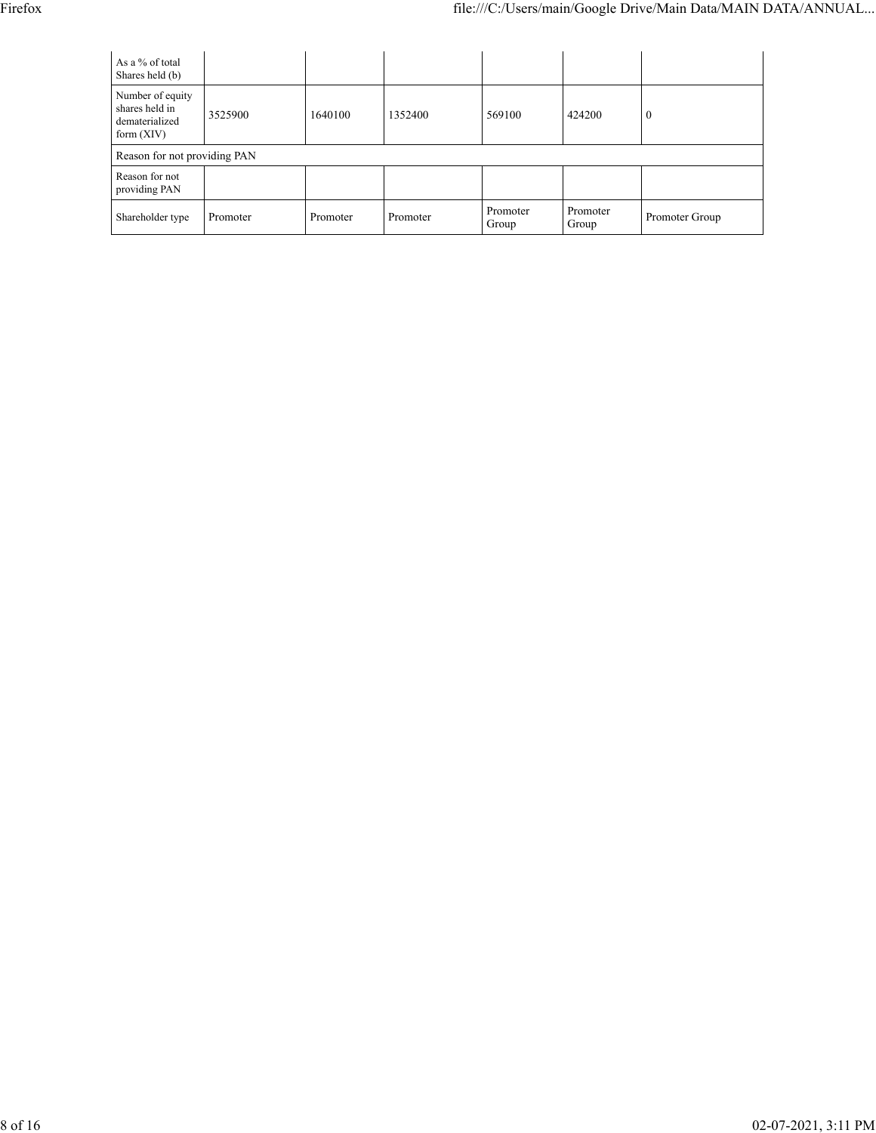| As a % of total<br>Shares held (b)                                   |          |          |          |                   |                   |                |
|----------------------------------------------------------------------|----------|----------|----------|-------------------|-------------------|----------------|
| Number of equity<br>shares held in<br>dematerialized<br>form $(XIV)$ | 3525900  | 1640100  | 1352400  | 569100            | 424200            | $\theta$       |
| Reason for not providing PAN                                         |          |          |          |                   |                   |                |
| Reason for not<br>providing PAN                                      |          |          |          |                   |                   |                |
| Shareholder type                                                     | Promoter | Promoter | Promoter | Promoter<br>Group | Promoter<br>Group | Promoter Group |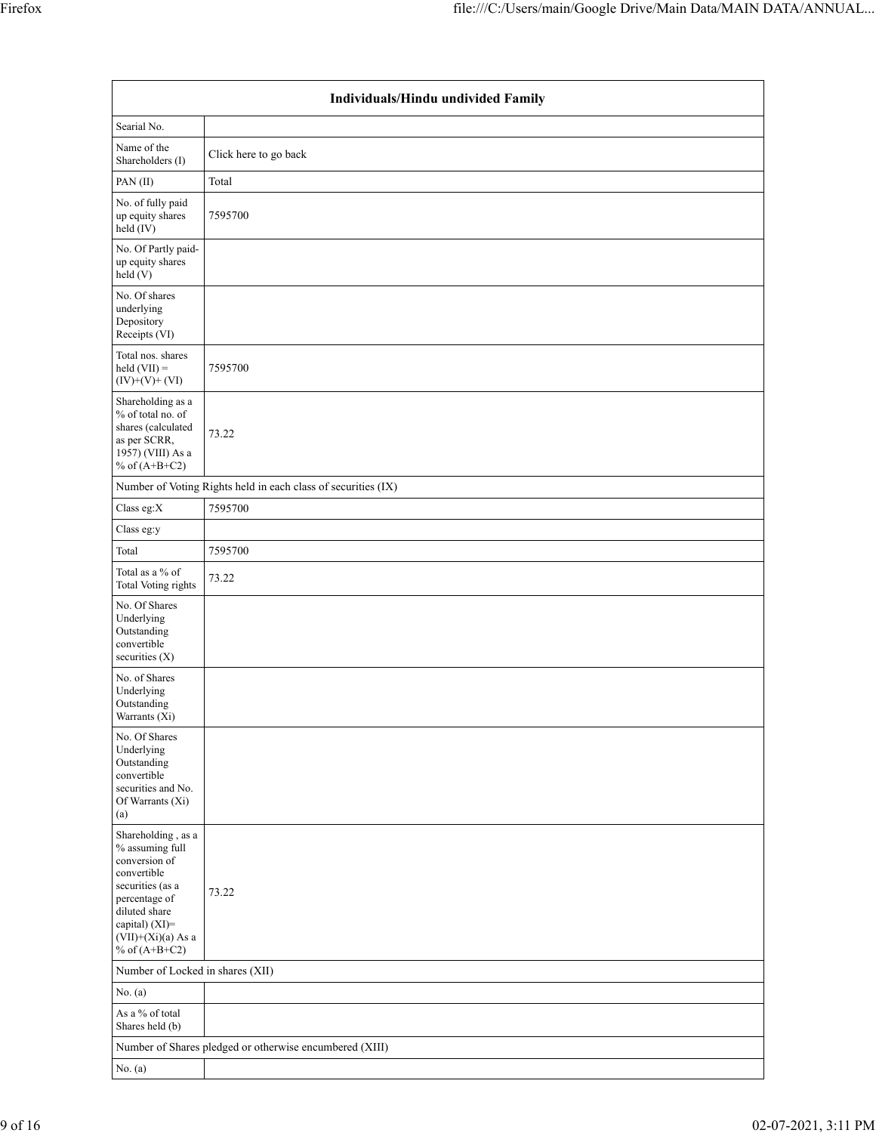|                                                                                                                                                                                          | Individuals/Hindu undivided Family                            |  |  |  |  |  |  |  |  |  |
|------------------------------------------------------------------------------------------------------------------------------------------------------------------------------------------|---------------------------------------------------------------|--|--|--|--|--|--|--|--|--|
| Searial No.                                                                                                                                                                              |                                                               |  |  |  |  |  |  |  |  |  |
| Name of the<br>Shareholders (I)                                                                                                                                                          | Click here to go back                                         |  |  |  |  |  |  |  |  |  |
| PAN(II)                                                                                                                                                                                  | Total                                                         |  |  |  |  |  |  |  |  |  |
| No. of fully paid<br>up equity shares<br>$held$ (IV)                                                                                                                                     | 7595700                                                       |  |  |  |  |  |  |  |  |  |
| No. Of Partly paid-<br>up equity shares<br>held (V)                                                                                                                                      |                                                               |  |  |  |  |  |  |  |  |  |
| No. Of shares<br>underlying<br>Depository<br>Receipts (VI)                                                                                                                               |                                                               |  |  |  |  |  |  |  |  |  |
| Total nos. shares<br>$held (VII) =$<br>$(IV)+(V)+(VI)$                                                                                                                                   | 7595700                                                       |  |  |  |  |  |  |  |  |  |
| Shareholding as a<br>% of total no. of<br>shares (calculated<br>as per SCRR,<br>1957) (VIII) As a<br>% of $(A+B+C2)$                                                                     | 73.22                                                         |  |  |  |  |  |  |  |  |  |
|                                                                                                                                                                                          | Number of Voting Rights held in each class of securities (IX) |  |  |  |  |  |  |  |  |  |
| Class eg:X                                                                                                                                                                               | 7595700                                                       |  |  |  |  |  |  |  |  |  |
| Class eg:y                                                                                                                                                                               |                                                               |  |  |  |  |  |  |  |  |  |
| Total                                                                                                                                                                                    | 7595700                                                       |  |  |  |  |  |  |  |  |  |
| Total as a % of<br>Total Voting rights                                                                                                                                                   | 73.22                                                         |  |  |  |  |  |  |  |  |  |
| No. Of Shares<br>Underlying<br>Outstanding<br>convertible<br>securities $(X)$                                                                                                            |                                                               |  |  |  |  |  |  |  |  |  |
| No. of Shares<br>Underlying<br>Outstanding<br>Warrants (Xi)                                                                                                                              |                                                               |  |  |  |  |  |  |  |  |  |
| No. Of Shares<br>Underlying<br>Outstanding<br>convertible<br>securities and No.<br>Of Warrants (Xi)<br>(a)                                                                               |                                                               |  |  |  |  |  |  |  |  |  |
| Shareholding, as a<br>% assuming full<br>conversion of<br>convertible<br>securities (as a<br>percentage of<br>diluted share<br>capital) (XI)=<br>$(VII)+(Xi)(a)$ As a<br>% of $(A+B+C2)$ | 73.22                                                         |  |  |  |  |  |  |  |  |  |
| Number of Locked in shares (XII)                                                                                                                                                         |                                                               |  |  |  |  |  |  |  |  |  |
| No. (a)                                                                                                                                                                                  |                                                               |  |  |  |  |  |  |  |  |  |
| As a % of total<br>Shares held (b)                                                                                                                                                       |                                                               |  |  |  |  |  |  |  |  |  |
|                                                                                                                                                                                          | Number of Shares pledged or otherwise encumbered (XIII)       |  |  |  |  |  |  |  |  |  |
| No. (a)                                                                                                                                                                                  |                                                               |  |  |  |  |  |  |  |  |  |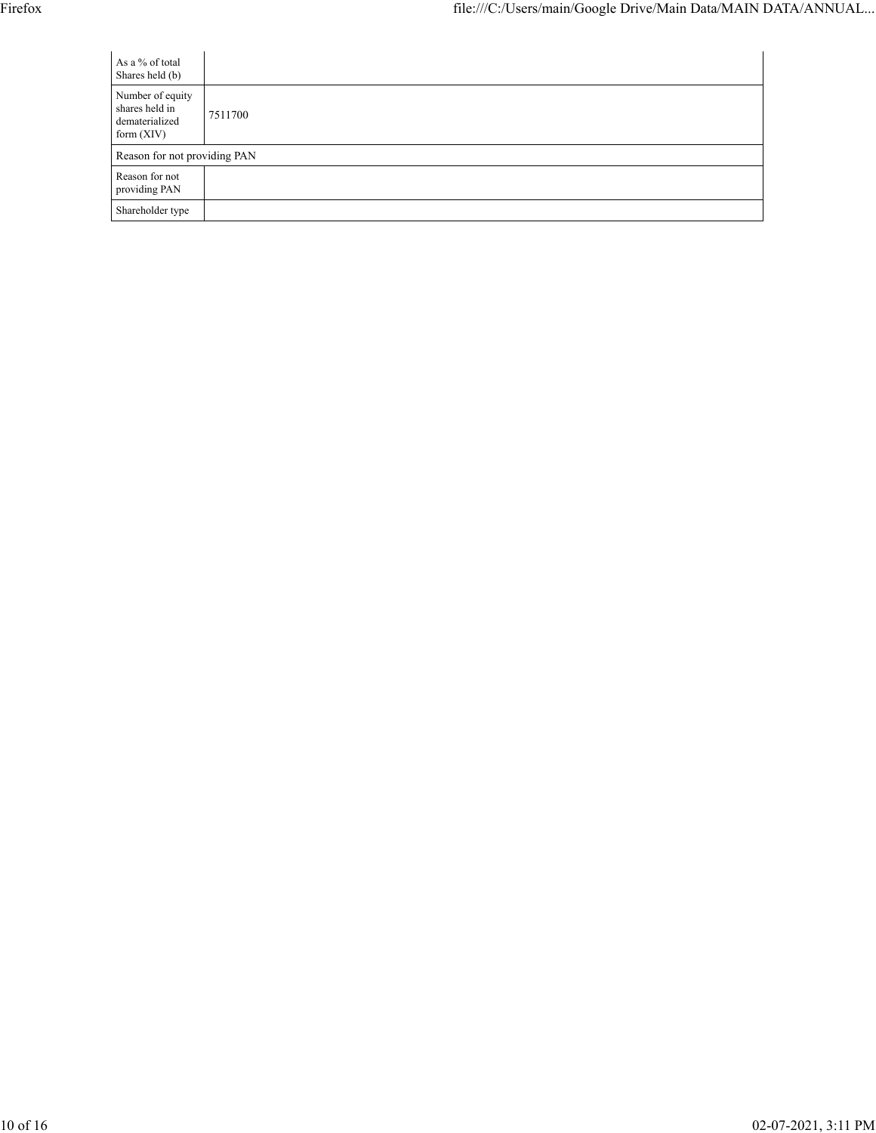| As a % of total<br>Shares held (b)                                   |         |
|----------------------------------------------------------------------|---------|
| Number of equity<br>shares held in<br>dematerialized<br>form $(XIV)$ | 7511700 |
| Reason for not providing PAN                                         |         |
| Reason for not<br>providing PAN                                      |         |
| Shareholder type                                                     |         |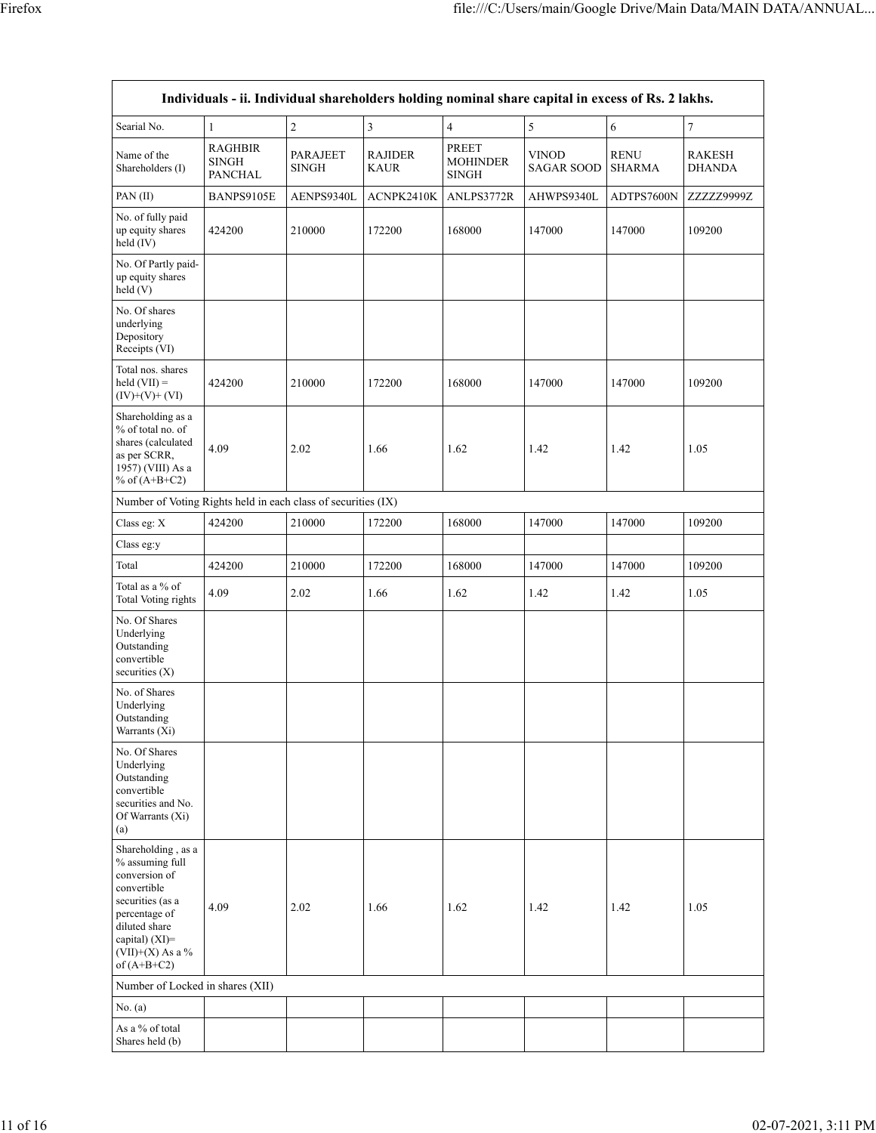|                                                                                                                                                                                         |                                                  |                                 |                               |                                                 | Individuals - ii. Individual shareholders holding nominal share capital in excess of Rs. 2 lakhs. |                              |                                |
|-----------------------------------------------------------------------------------------------------------------------------------------------------------------------------------------|--------------------------------------------------|---------------------------------|-------------------------------|-------------------------------------------------|---------------------------------------------------------------------------------------------------|------------------------------|--------------------------------|
| Searial No.                                                                                                                                                                             | 1                                                | $\overline{2}$                  | 3                             | $\overline{4}$                                  | 5                                                                                                 | 6                            | $\tau$                         |
| Name of the<br>Shareholders (I)                                                                                                                                                         | <b>RAGHBIR</b><br><b>SINGH</b><br><b>PANCHAL</b> | <b>PARAJEET</b><br><b>SINGH</b> | <b>RAJIDER</b><br><b>KAUR</b> | <b>PREET</b><br><b>MOHINDER</b><br><b>SINGH</b> | <b>VINOD</b><br><b>SAGAR SOOD</b>                                                                 | <b>RENU</b><br><b>SHARMA</b> | <b>RAKESH</b><br><b>DHANDA</b> |
| PAN(II)                                                                                                                                                                                 | BANPS9105E                                       | AENPS9340L                      | ACNPK2410K                    | ANLPS3772R                                      | AHWPS9340L                                                                                        | ADTPS7600N                   | ZZZZZ9999Z                     |
| No. of fully paid<br>up equity shares<br>held $(IV)$                                                                                                                                    | 424200                                           | 210000                          | 172200                        | 168000                                          | 147000                                                                                            | 147000                       | 109200                         |
| No. Of Partly paid-<br>up equity shares<br>held (V)                                                                                                                                     |                                                  |                                 |                               |                                                 |                                                                                                   |                              |                                |
| No. Of shares<br>underlying<br>Depository<br>Receipts (VI)                                                                                                                              |                                                  |                                 |                               |                                                 |                                                                                                   |                              |                                |
| Total nos. shares<br>held $(VII) =$<br>$(IV)+(V)+(VI)$                                                                                                                                  | 424200                                           | 210000                          | 172200                        | 168000                                          | 147000                                                                                            | 147000                       | 109200                         |
| Shareholding as a<br>% of total no. of<br>shares (calculated<br>as per SCRR,<br>1957) (VIII) As a<br>% of $(A+B+C2)$                                                                    | 4.09                                             | 2.02                            | 1.66                          | 1.62                                            | 1.42                                                                                              | 1.42                         | 1.05                           |
| Number of Voting Rights held in each class of securities (IX)                                                                                                                           |                                                  |                                 |                               |                                                 |                                                                                                   |                              |                                |
| Class eg: X                                                                                                                                                                             | 424200                                           | 210000                          | 172200                        | 168000                                          | 147000                                                                                            | 147000                       | 109200                         |
| Class eg:y                                                                                                                                                                              |                                                  |                                 |                               |                                                 |                                                                                                   |                              |                                |
| Total                                                                                                                                                                                   | 424200                                           | 210000                          | 172200                        | 168000                                          | 147000                                                                                            | 147000                       | 109200                         |
| Total as a % of<br>Total Voting rights                                                                                                                                                  | 4.09                                             | 2.02                            | 1.66                          | 1.62                                            | 1.42                                                                                              | 1.42                         | 1.05                           |
| No. Of Shares<br>Underlying<br>Outstanding<br>convertible<br>securities $(X)$                                                                                                           |                                                  |                                 |                               |                                                 |                                                                                                   |                              |                                |
| No. of Shares<br>Underlying<br>Outstanding<br>Warrants (Xi)                                                                                                                             |                                                  |                                 |                               |                                                 |                                                                                                   |                              |                                |
| No. Of Shares<br>Underlying<br>Outstanding<br>convertible<br>securities and No.<br>Of Warrants (Xi)<br>(a)                                                                              |                                                  |                                 |                               |                                                 |                                                                                                   |                              |                                |
| Shareholding, as a<br>% assuming full<br>conversion of<br>convertible<br>securities (as a<br>percentage of<br>diluted share<br>capital) $(XI)$ =<br>$(VII)+(X)$ As a %<br>of $(A+B+C2)$ | 4.09                                             | 2.02                            | 1.66                          | 1.62                                            | 1.42                                                                                              | 1.42                         | 1.05                           |
| Number of Locked in shares (XII)                                                                                                                                                        |                                                  |                                 |                               |                                                 |                                                                                                   |                              |                                |
| No. (a)                                                                                                                                                                                 |                                                  |                                 |                               |                                                 |                                                                                                   |                              |                                |
| As a % of total<br>Shares held (b)                                                                                                                                                      |                                                  |                                 |                               |                                                 |                                                                                                   |                              |                                |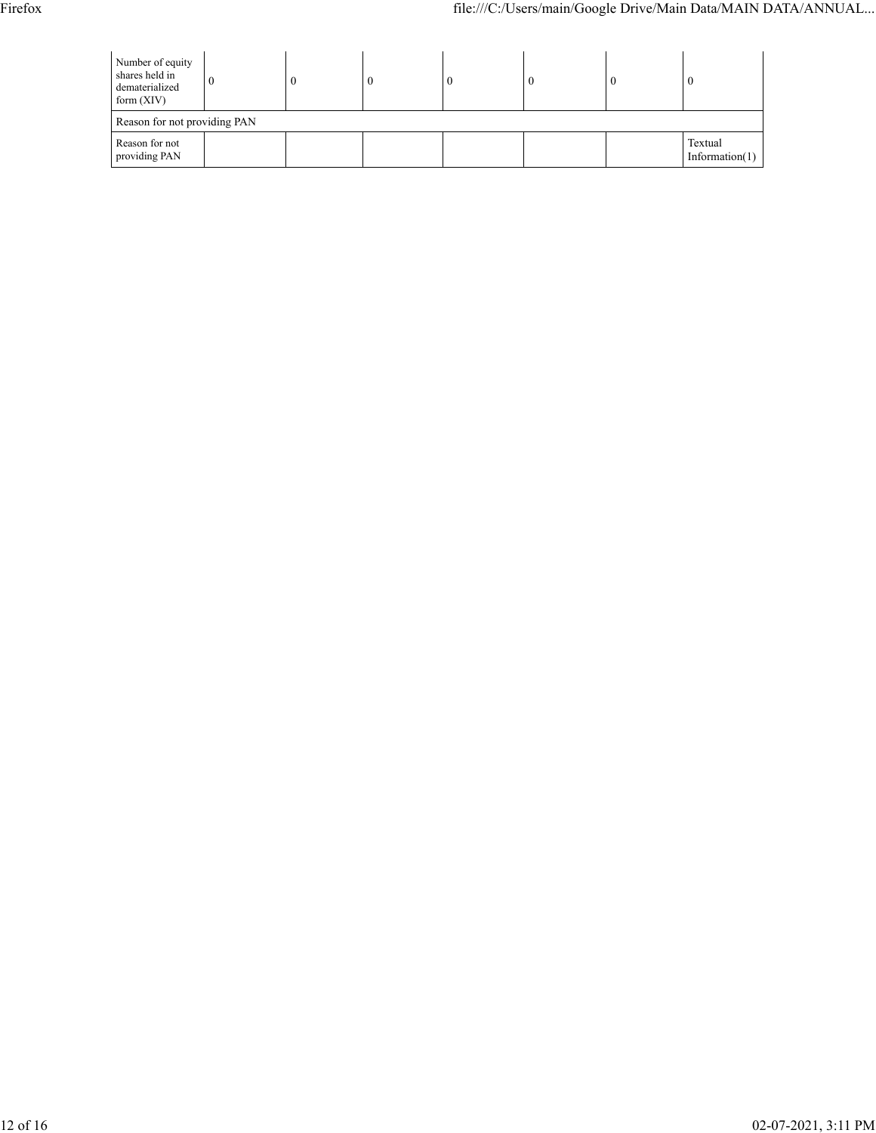| Number of equity<br>shares held in<br>dematerialized<br>form $(XIV)$ |  |  |  | $\boldsymbol{0}$ |  |  |                              |  |  |  |
|----------------------------------------------------------------------|--|--|--|------------------|--|--|------------------------------|--|--|--|
| Reason for not providing PAN                                         |  |  |  |                  |  |  |                              |  |  |  |
| Reason for not<br>providing PAN                                      |  |  |  |                  |  |  | Textual<br>Information $(1)$ |  |  |  |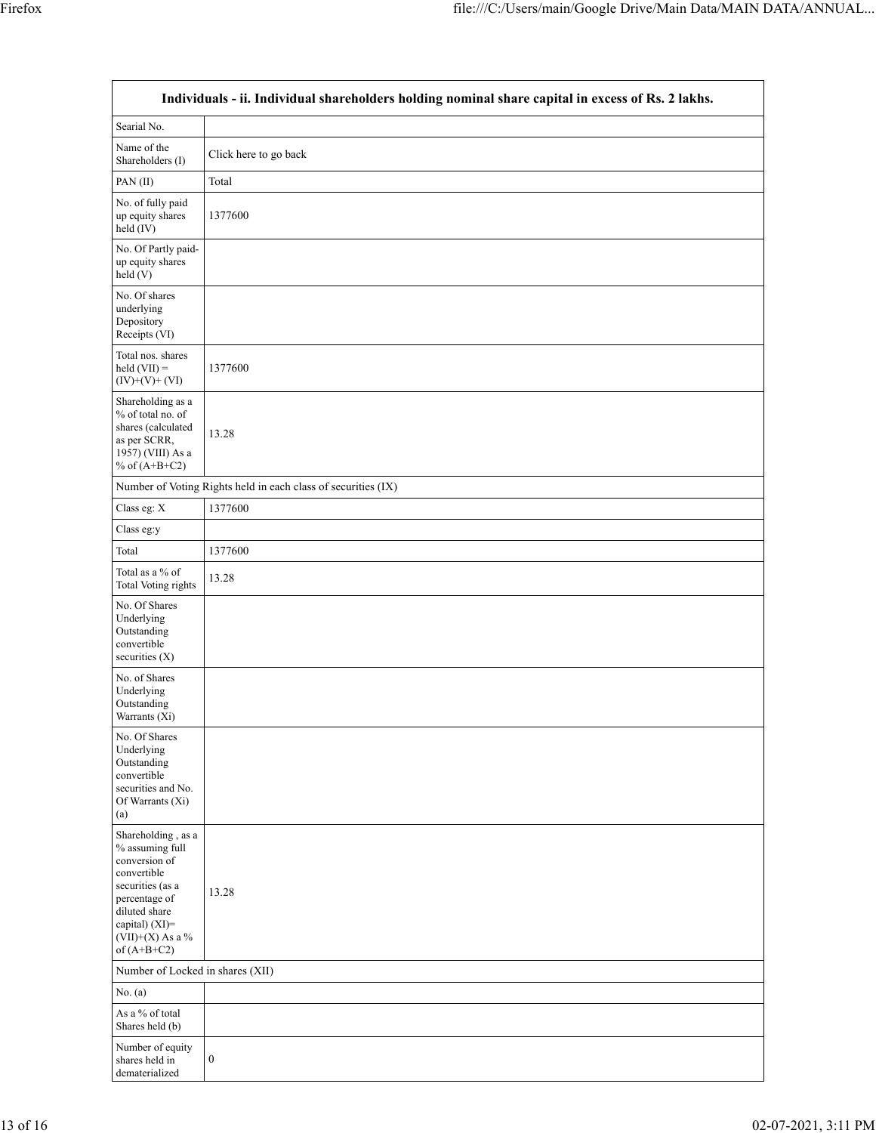| Individuals - ii. Individual shareholders holding nominal share capital in excess of Rs. 2 lakhs.                                                                                       |                                                               |  |
|-----------------------------------------------------------------------------------------------------------------------------------------------------------------------------------------|---------------------------------------------------------------|--|
| Searial No.                                                                                                                                                                             |                                                               |  |
| Name of the<br>Shareholders (I)                                                                                                                                                         | Click here to go back                                         |  |
| PAN $(II)$                                                                                                                                                                              | Total                                                         |  |
| No. of fully paid<br>up equity shares<br>held (IV)                                                                                                                                      | 1377600                                                       |  |
| No. Of Partly paid-<br>up equity shares<br>held (V)                                                                                                                                     |                                                               |  |
| No. Of shares<br>underlying<br>Depository<br>Receipts (VI)                                                                                                                              |                                                               |  |
| Total nos. shares<br>held $(VII) =$<br>$(IV)+(V)+(VI)$                                                                                                                                  | 1377600                                                       |  |
| Shareholding as a<br>% of total no. of<br>shares (calculated<br>as per SCRR,<br>1957) (VIII) As a<br>% of $(A+B+C2)$                                                                    | 13.28                                                         |  |
|                                                                                                                                                                                         | Number of Voting Rights held in each class of securities (IX) |  |
| Class eg: X                                                                                                                                                                             | 1377600                                                       |  |
| Class eg:y                                                                                                                                                                              |                                                               |  |
| Total                                                                                                                                                                                   | 1377600                                                       |  |
| Total as a % of<br>Total Voting rights                                                                                                                                                  | 13.28                                                         |  |
| No. Of Shares<br>Underlying<br>Outstanding<br>convertible<br>securities $(X)$                                                                                                           |                                                               |  |
| No. of Shares<br>Underlying<br>Outstanding<br>Warrants (Xi)                                                                                                                             |                                                               |  |
| No. Of Shares<br>Underlying<br>Outstanding<br>convertible<br>securities and No.<br>Of Warrants (Xi)<br>(a)                                                                              |                                                               |  |
| Shareholding, as a<br>% assuming full<br>conversion of<br>convertible<br>securities (as a<br>percentage of<br>diluted share<br>capital) $(XI)$ =<br>(VII)+(X) As a $%$<br>of $(A+B+C2)$ | 13.28                                                         |  |
| Number of Locked in shares (XII)                                                                                                                                                        |                                                               |  |
| No. $(a)$                                                                                                                                                                               |                                                               |  |
| As a % of total<br>Shares held (b)                                                                                                                                                      |                                                               |  |
| Number of equity<br>shares held in<br>dematerialized                                                                                                                                    | $\boldsymbol{0}$                                              |  |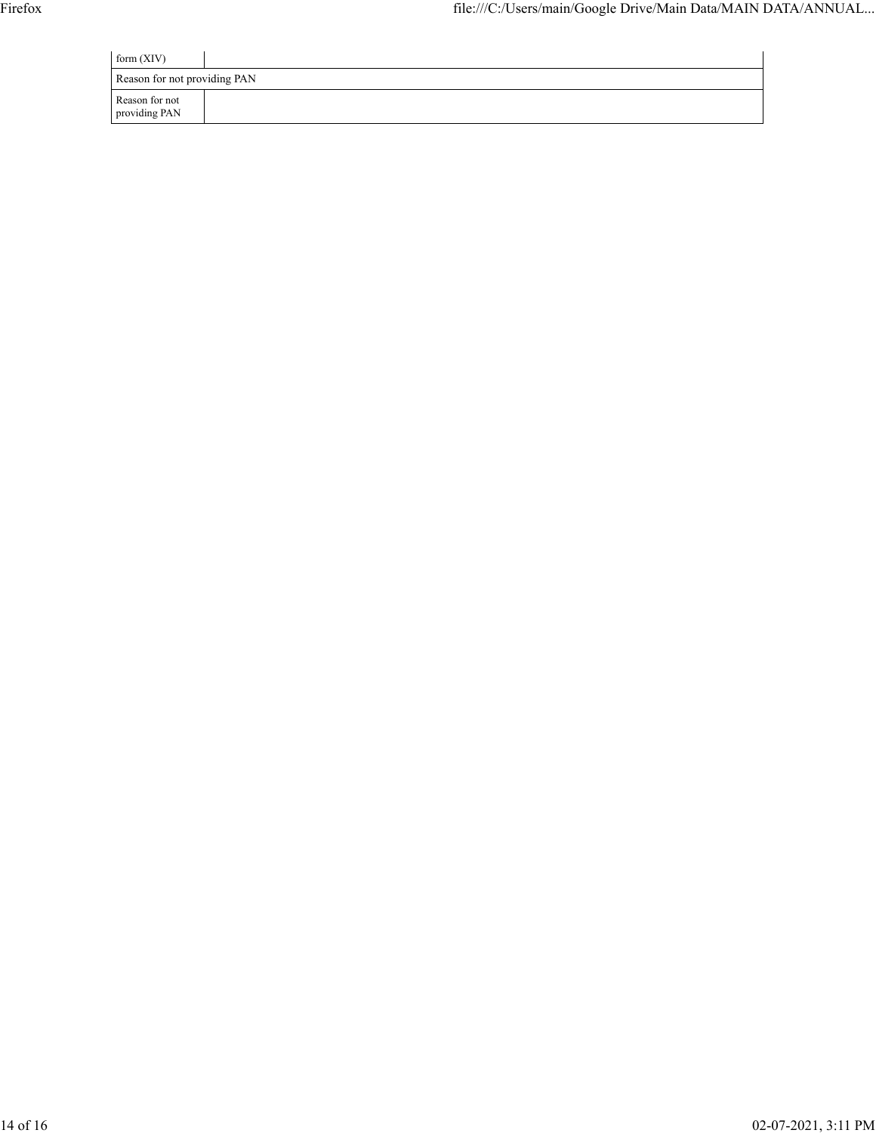| form $(XIV)$                    |  |  |  |
|---------------------------------|--|--|--|
| Reason for not providing PAN    |  |  |  |
| Reason for not<br>providing PAN |  |  |  |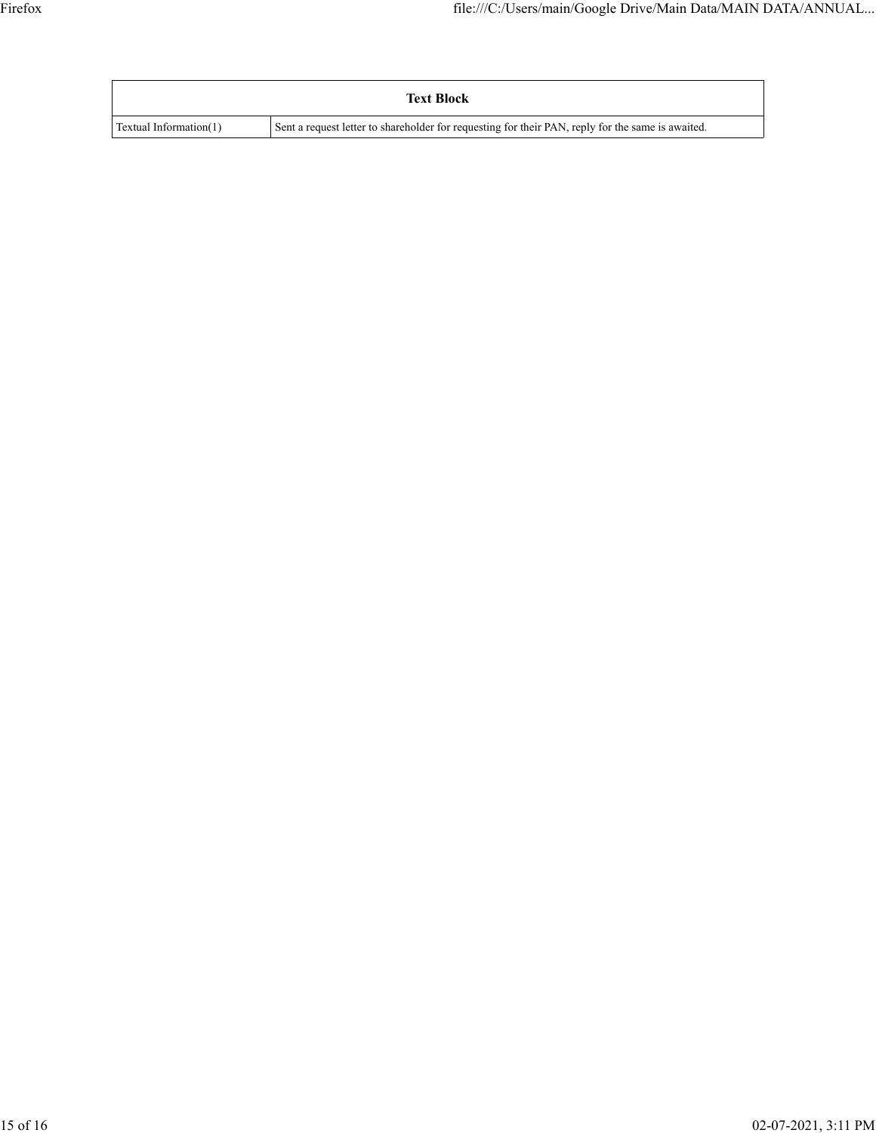|                        | <b>Text Block</b>                                                                                 |
|------------------------|---------------------------------------------------------------------------------------------------|
| Textual Information(1) | Sent a request letter to shareholder for requesting for their PAN, reply for the same is awaited. |